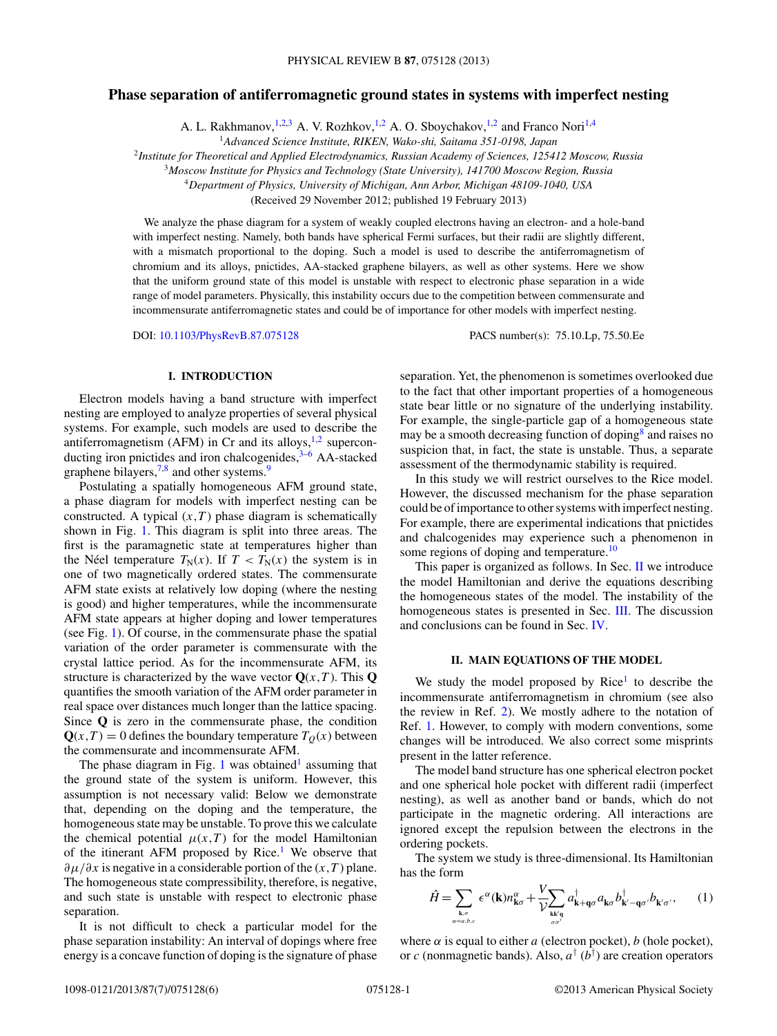# <span id="page-0-0"></span>**Phase separation of antiferromagnetic ground states in systems with imperfect nesting**

A. L. Rakhmanov,  $^{1,2,3}$  A. V. Rozhkov,  $^{1,2}$  A. O. Sboychakov,  $^{1,2}$  and Franco Nori<sup>1,4</sup>

<sup>1</sup>*Advanced Science Institute, RIKEN, Wako-shi, Saitama 351-0198, Japan*

<sup>2</sup>*Institute for Theoretical and Applied Electrodynamics, Russian Academy of Sciences, 125412 Moscow, Russia*

<sup>3</sup>*Moscow Institute for Physics and Technology (State University), 141700 Moscow Region, Russia*

<sup>4</sup>*Department of Physics, University of Michigan, Ann Arbor, Michigan 48109-1040, USA*

(Received 29 November 2012; published 19 February 2013)

We analyze the phase diagram for a system of weakly coupled electrons having an electron- and a hole-band with imperfect nesting. Namely, both bands have spherical Fermi surfaces, but their radii are slightly different, with a mismatch proportional to the doping. Such a model is used to describe the antiferromagnetism of chromium and its alloys, pnictides, AA-stacked graphene bilayers, as well as other systems. Here we show that the uniform ground state of this model is unstable with respect to electronic phase separation in a wide range of model parameters. Physically, this instability occurs due to the competition between commensurate and incommensurate antiferromagnetic states and could be of importance for other models with imperfect nesting.

DOI: [10.1103/PhysRevB.87.075128](http://dx.doi.org/10.1103/PhysRevB.87.075128) PACS number(s): 75*.*10*.*Lp, 75*.*50*.*Ee

# **I. INTRODUCTION**

Electron models having a band structure with imperfect nesting are employed to analyze properties of several physical systems. For example, such models are used to describe the antiferromagnetism (AFM) in Cr and its alloys,  $1,2$  superconducting iron pnictides and iron chalcogenides, $3-6$  AA-stacked graphene bilayers, $7,8$  and other systems.<sup>9</sup>

Postulating a spatially homogeneous AFM ground state, a phase diagram for models with imperfect nesting can be constructed. A typical  $(x, T)$  phase diagram is schematically shown in Fig. [1.](#page-1-0) This diagram is split into three areas. The first is the paramagnetic state at temperatures higher than the Néel temperature  $T_N(x)$ . If  $T < T_N(x)$  the system is in one of two magnetically ordered states. The commensurate AFM state exists at relatively low doping (where the nesting is good) and higher temperatures, while the incommensurate AFM state appears at higher doping and lower temperatures (see Fig. [1\)](#page-1-0). Of course, in the commensurate phase the spatial variation of the order parameter is commensurate with the crystal lattice period. As for the incommensurate AFM, its structure is characterized by the wave vector  $Q(x, T)$ . This Q quantifies the smooth variation of the AFM order parameter in real space over distances much longer than the lattice spacing. Since **Q** is zero in the commensurate phase, the condition  $Q(x,T) = 0$  defines the boundary temperature  $T<sub>O</sub>(x)$  between the commensurate and incommensurate AFM.

The phase diagram in Fig. [1](#page-1-0) was obtained<sup>1</sup> assuming that the ground state of the system is uniform. However, this assumption is not necessary valid: Below we demonstrate that, depending on the doping and the temperature, the homogeneous state may be unstable. To prove this we calculate the chemical potential  $\mu(x,T)$  for the model Hamiltonian of the itinerant AFM proposed by Rice.<sup>[1](#page-5-0)</sup> We observe that *∂μ/∂x* is negative in a considerable portion of the (*x,T* ) plane. The homogeneous state compressibility, therefore, is negative, and such state is unstable with respect to electronic phase separation.

It is not difficult to check a particular model for the phase separation instability: An interval of dopings where free energy is a concave function of doping is the signature of phase separation. Yet, the phenomenon is sometimes overlooked due to the fact that other important properties of a homogeneous state bear little or no signature of the underlying instability. For example, the single-particle gap of a homogeneous state may be a smooth decreasing function of doping<sup>8</sup> and raises no suspicion that, in fact, the state is unstable. Thus, a separate assessment of the thermodynamic stability is required.

In this study we will restrict ourselves to the Rice model. However, the discussed mechanism for the phase separation could be of importance to other systems with imperfect nesting. For example, there are experimental indications that pnictides and chalcogenides may experience such a phenomenon in some regions of doping and temperature.<sup>[10](#page-5-0)</sup>

This paper is organized as follows. In Sec. II we introduce the model Hamiltonian and derive the equations describing the homogeneous states of the model. The instability of the homogeneous states is presented in Sec. [III.](#page-2-0) The discussion and conclusions can be found in Sec. [IV.](#page-3-0)

### **II. MAIN EQUATIONS OF THE MODEL**

We study the model proposed by  $Rice<sup>1</sup>$  to describe the incommensurate antiferromagnetism in chromium (see also the review in Ref. [2\)](#page-5-0). We mostly adhere to the notation of Ref. [1.](#page-5-0) However, to comply with modern conventions, some changes will be introduced. We also correct some misprints present in the latter reference.

The model band structure has one spherical electron pocket and one spherical hole pocket with different radii (imperfect nesting), as well as another band or bands, which do not participate in the magnetic ordering. All interactions are ignored except the repulsion between the electrons in the ordering pockets.

The system we study is three-dimensional. Its Hamiltonian has the form

$$
\hat{H} = \sum_{\mathbf{k},\sigma \atop \alpha=a,b,c} \epsilon^{\alpha}(\mathbf{k}) n_{\mathbf{k}\sigma}^{\alpha} + \frac{V}{V} \sum_{\mathbf{k}\mathbf{k}'\mathbf{q} \atop \sigma\sigma'} a_{\mathbf{k}+\mathbf{q}\sigma} a_{\mathbf{k}\sigma} b_{\mathbf{k}'-\mathbf{q}\sigma'}^{\dagger} b_{\mathbf{k}'\sigma'}, \qquad (1)
$$

where  $\alpha$  is equal to either  $a$  (electron pocket),  $b$  (hole pocket), or *c* (nonmagnetic bands). Also, *a*† (*b*† ) are creation operators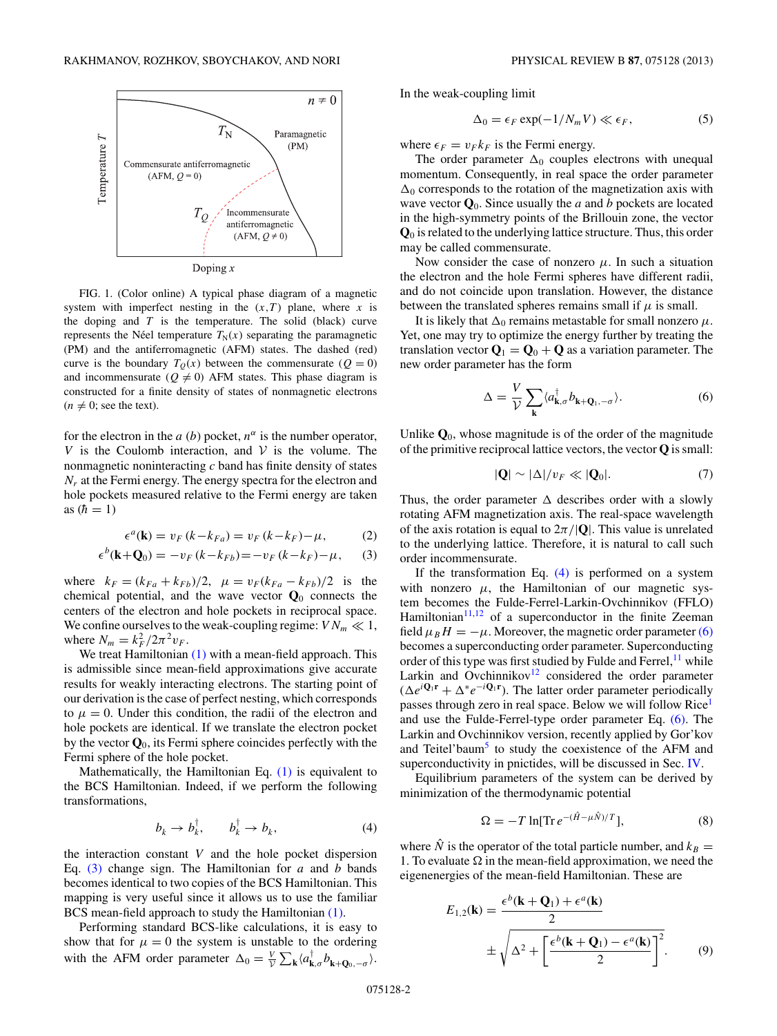<span id="page-1-0"></span>

FIG. 1. (Color online) A typical phase diagram of a magnetic system with imperfect nesting in the  $(x,T)$  plane, where x is the doping and *T* is the temperature. The solid (black) curve represents the Néel temperature  $T_N(x)$  separating the paramagnetic (PM) and the antiferromagnetic (AFM) states. The dashed (red) curve is the boundary  $T<sub>Q</sub>(x)$  between the commensurate ( $Q = 0$ ) and incommensurate ( $Q \neq 0$ ) AFM states. This phase diagram is constructed for a finite density of states of nonmagnetic electrons  $(n \neq 0; \text{ see the text}).$ 

for the electron in the *a* (*b*) pocket,  $n^{\alpha}$  is the number operator, *V* is the Coulomb interaction, and  $V$  is the volume. The nonmagnetic noninteracting *c* band has finite density of states *Nr* at the Fermi energy. The energy spectra for the electron and hole pockets measured relative to the Fermi energy are taken as  $(h = 1)$ 

$$
\epsilon^{a}(\mathbf{k}) = v_F(k - k_{Fa}) = v_F(k - k_F) - \mu,\tag{2}
$$

$$
\epsilon^{b}(\mathbf{k}+\mathbf{Q}_{0})=-v_{F}(k-k_{Fb})=-v_{F}(k-k_{F})-\mu,\qquad(3)
$$

where  $k_F = (k_{Fa} + k_{Fb})/2$ ,  $\mu = v_F(k_{Fa} - k_{Fb})/2$  is the chemical potential, and the wave vector  $Q_0$  connects the centers of the electron and hole pockets in reciprocal space. We confine ourselves to the weak-coupling regime:  $VN_m \ll 1$ , where  $N_m = k_F^2 / 2\pi^2 v_F$ .

We treat Hamiltonian  $(1)$  with a mean-field approach. This is admissible since mean-field approximations give accurate results for weakly interacting electrons. The starting point of our derivation is the case of perfect nesting, which corresponds to  $\mu = 0$ . Under this condition, the radii of the electron and hole pockets are identical. If we translate the electron pocket by the vector **Q**0, its Fermi sphere coincides perfectly with the Fermi sphere of the hole pocket.

Mathematically, the Hamiltonian Eq. [\(1\)](#page-0-0) is equivalent to the BCS Hamiltonian. Indeed, if we perform the following transformations,

$$
b_k \to b_k^{\dagger}, \qquad b_k^{\dagger} \to b_k, \tag{4}
$$

the interaction constant *V* and the hole pocket dispersion Eq. (3) change sign. The Hamiltonian for *a* and *b* bands becomes identical to two copies of the BCS Hamiltonian. This mapping is very useful since it allows us to use the familiar BCS mean-field approach to study the Hamiltonian [\(1\).](#page-0-0)

Performing standard BCS-like calculations, it is easy to show that for  $\mu = 0$  the system is unstable to the ordering with the AFM order parameter  $\Delta_0 = \frac{V}{V} \sum_{\mathbf{k}} \langle a_{\mathbf{k},\sigma}^{\dagger} b_{\mathbf{k}+\mathbf{Q}_0,-\sigma} \rangle$ .

In the weak-coupling limit

$$
\Delta_0 = \epsilon_F \exp(-1/N_m V) \ll \epsilon_F,\tag{5}
$$

where  $\epsilon_F = v_F k_F$  is the Fermi energy.

The order parameter  $\Delta_0$  couples electrons with unequal momentum. Consequently, in real space the order parameter  $\Delta_0$  corresponds to the rotation of the magnetization axis with wave vector  $\mathbf{Q}_0$ . Since usually the *a* and *b* pockets are located in the high-symmetry points of the Brillouin zone, the vector **Q**<sup>0</sup> is related to the underlying lattice structure. Thus, this order may be called commensurate.

Now consider the case of nonzero  $\mu$ . In such a situation the electron and the hole Fermi spheres have different radii, and do not coincide upon translation. However, the distance between the translated spheres remains small if  $\mu$  is small.

It is likely that  $\Delta_0$  remains metastable for small nonzero  $\mu$ . Yet, one may try to optimize the energy further by treating the translation vector  $\mathbf{Q}_1 = \mathbf{Q}_0 + \mathbf{Q}$  as a variation parameter. The new order parameter has the form

$$
\Delta = \frac{V}{V} \sum_{\mathbf{k}} \langle a_{\mathbf{k},\sigma}^{\dagger} b_{\mathbf{k} + \mathbf{Q}_1, -\sigma} \rangle.
$$
 (6)

Unlike  $\mathbf{Q}_0$ , whose magnitude is of the order of the magnitude of the primitive reciprocal lattice vectors, the vector **Q** is small:

$$
|\mathbf{Q}| \sim |\Delta| / v_F \ll |\mathbf{Q}_0|. \tag{7}
$$

Thus, the order parameter  $\Delta$  describes order with a slowly rotating AFM magnetization axis. The real-space wavelength of the axis rotation is equal to  $2\pi/|Q|$ . This value is unrelated to the underlying lattice. Therefore, it is natural to call such order incommensurate.

If the transformation Eq.  $(4)$  is performed on a system with nonzero  $\mu$ , the Hamiltonian of our magnetic system becomes the Fulde-Ferrel-Larkin-Ovchinnikov (FFLO) Hamiltonian $11,12$  of a superconductor in the finite Zeeman field  $\mu_B H = -\mu$ . Moreover, the magnetic order parameter (6) becomes a superconducting order parameter. Superconducting order of this type was first studied by Fulde and Ferrel,  $^{11}$  while Larkin and Ovchinnikov<sup>12</sup> considered the order parameter  $(\Delta e^{i\mathbf{Q}_1\mathbf{r}} + \Delta^* e^{-i\mathbf{Q}_1\mathbf{r}})$ . The latter order parameter periodically passes through zero in real space. Below we will follow Rice<sup>1</sup> and use the Fulde-Ferrel-type order parameter Eq. (6). The Larkin and Ovchinnikov version, recently applied by Gor'kov and Teitel'baum<sup>[5](#page-5-0)</sup> to study the coexistence of the AFM and superconductivity in pnictides, will be discussed in Sec. [IV.](#page-3-0)

Equilibrium parameters of the system can be derived by minimization of the thermodynamic potential

$$
\Omega = -T \ln[\text{Tr} \, e^{-(\hat{H} - \mu \hat{N})/T}],\tag{8}
$$

where  $\hat{N}$  is the operator of the total particle number, and  $k_B =$ 1. To evaluate  $\Omega$  in the mean-field approximation, we need the eigenenergies of the mean-field Hamiltonian. These are

$$
E_{1,2}(\mathbf{k}) = \frac{\epsilon^b(\mathbf{k} + \mathbf{Q}_1) + \epsilon^a(\mathbf{k})}{2}
$$
  

$$
\pm \sqrt{\Delta^2 + \left[\frac{\epsilon^b(\mathbf{k} + \mathbf{Q}_1) - \epsilon^a(\mathbf{k})}{2}\right]^2}.
$$
 (9)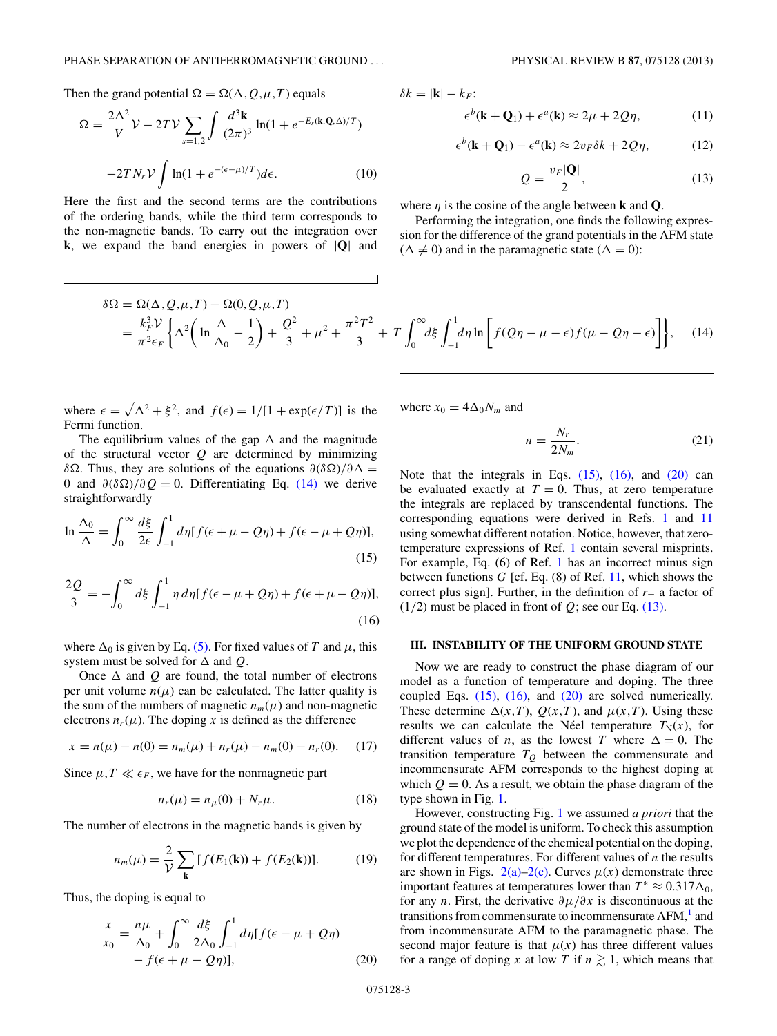<span id="page-2-0"></span>Then the grand potential  $\Omega = \Omega(\Delta, Q, \mu, T)$  equals

$$
\Omega = \frac{2\Delta^2}{V} \mathcal{V} - 2TV \sum_{s=1,2} \int \frac{d^3 \mathbf{k}}{(2\pi)^3} \ln(1 + e^{-E_s(\mathbf{k}, \mathbf{Q}, \Delta)/T})
$$

$$
-2TN_r \mathcal{V} \int \ln(1 + e^{-(\epsilon - \mu)/T}) d\epsilon.
$$
(10)

Here the first and the second terms are the contributions of the ordering bands, while the third term corresponds to the non-magnetic bands. To carry out the integration over **k**, we expand the band energies in powers of |**Q**| and

 $\delta k = |\mathbf{k}| - k_F$ :

$$
\epsilon^{b}(\mathbf{k} + \mathbf{Q}_{1}) + \epsilon^{a}(\mathbf{k}) \approx 2\mu + 2Q\eta, \qquad (11)
$$

$$
\epsilon^{b}(\mathbf{k} + \mathbf{Q}_{1}) - \epsilon^{a}(\mathbf{k}) \approx 2v_{F}\delta k + 2Q\eta, \qquad (12)
$$

$$
Q = \frac{v_F |\mathbf{Q}|}{2},\tag{13}
$$

where  $\eta$  is the cosine of the angle between **k** and **Q**.

Performing the integration, one finds the following expression for the difference of the grand potentials in the AFM state  $(\Delta \neq 0)$  and in the paramagnetic state  $(\Delta = 0)$ :

$$
\delta\Omega = \Omega(\Delta, Q, \mu, T) - \Omega(0, Q, \mu, T)
$$
  
=  $\frac{k_F^3 \nu}{\pi^2 \epsilon_F} \left\{ \Delta^2 \left( \ln \frac{\Delta}{\Delta_0} - \frac{1}{2} \right) + \frac{Q^2}{3} + \mu^2 + \frac{\pi^2 T^2}{3} + T \int_0^\infty d\xi \int_{-1}^1 d\eta \ln \left[ f(Q\eta - \mu - \epsilon) f(\mu - Q\eta - \epsilon) \right] \right\},$  (14)

where  $\epsilon = \sqrt{\Delta^2 + \xi^2}$ , and  $f(\epsilon) = 1/[1 + \exp(\epsilon/T)]$  is the Fermi function.

The equilibrium values of the gap  $\Delta$  and the magnitude of the structural vector *Q* are determined by minimizing *δ* $\Omega$ . Thus, they are solutions of the equations  $\partial$ (*δ* $\Omega$ *)*/ $\partial$ Δ = 0 and  $\partial$ ( $\delta$ Ω)/ $\partial$ *Q* = 0. Differentiating Eq. (14) we derive straightforwardly

$$
\ln \frac{\Delta_0}{\Delta} = \int_0^\infty \frac{d\xi}{2\epsilon} \int_{-1}^1 d\eta [f(\epsilon + \mu - Q\eta) + f(\epsilon - \mu + Q\eta)],
$$
\n(15)

$$
\frac{2Q}{3} = -\int_0^\infty d\xi \int_{-1}^1 \eta \, d\eta [f(\epsilon - \mu + Q\eta) + f(\epsilon + \mu - Q\eta)],\tag{16}
$$

where  $\Delta_0$  is given by Eq. [\(5\).](#page-1-0) For fixed values of *T* and  $\mu$ , this system must be solved for  $\Delta$  and  $Q$ .

Once  $\Delta$  and  $Q$  are found, the total number of electrons per unit volume  $n(\mu)$  can be calculated. The latter quality is the sum of the numbers of magnetic  $n_m(\mu)$  and non-magnetic electrons  $n_r(\mu)$ . The doping *x* is defined as the difference

$$
x = n(\mu) - n(0) = n_m(\mu) + n_r(\mu) - n_m(0) - n_r(0). \tag{17}
$$

Since  $\mu, T \ll \epsilon_F$ , we have for the nonmagnetic part

$$
n_r(\mu) = n_\mu(0) + N_r \mu. \tag{18}
$$

The number of electrons in the magnetic bands is given by

$$
n_m(\mu) = \frac{2}{\mathcal{V}} \sum_{\mathbf{k}} [f(E_1(\mathbf{k})) + f(E_2(\mathbf{k}))]. \tag{19}
$$

Thus, the doping is equal to

$$
\frac{x}{x_0} = \frac{n\mu}{\Delta_0} + \int_0^\infty \frac{d\xi}{2\Delta_0} \int_{-1}^1 d\eta [f(\epsilon - \mu + Q\eta) - f(\epsilon + \mu - Q\eta)],\tag{20}
$$

where  $x_0 = 4\Delta_0 N_m$  and

$$
n = \frac{N_r}{2N_m}.\tag{21}
$$

Note that the integrals in Eqs.  $(15)$ ,  $(16)$ , and  $(20)$  can be evaluated exactly at  $T = 0$ . Thus, at zero temperature the integrals are replaced by transcendental functions. The corresponding equations were derived in Refs. [1](#page-5-0) and [11](#page-5-0) using somewhat different notation. Notice, however, that zerotemperature expressions of Ref. [1](#page-5-0) contain several misprints. For example, Eq. (6) of Ref. [1](#page-5-0) has an incorrect minus sign between functions *G* [cf. Eq. (8) of Ref. [11,](#page-5-0) which shows the correct plus sign]. Further, in the definition of  $r_{\pm}$  a factor of  $(1/2)$  must be placed in front of  $Q$ ; see our Eq. (13).

#### **III. INSTABILITY OF THE UNIFORM GROUND STATE**

Now we are ready to construct the phase diagram of our model as a function of temperature and doping. The three coupled Eqs. (15), (16), and (20) are solved numerically. These determine  $\Delta(x,T)$ ,  $Q(x,T)$ , and  $\mu(x,T)$ . Using these results we can calculate the Néel temperature  $T_N(x)$ , for different values of *n*, as the lowest *T* where  $\Delta = 0$ . The transition temperature  $T<sub>O</sub>$  between the commensurate and incommensurate AFM corresponds to the highest doping at which  $Q = 0$ . As a result, we obtain the phase diagram of the type shown in Fig. [1.](#page-1-0)

However, constructing Fig. [1](#page-1-0) we assumed *a priori* that the ground state of the model is uniform. To check this assumption we plot the dependence of the chemical potential on the doping, for different temperatures. For different values of *n* the results are shown in Figs.  $2(a)-2(c)$ . Curves  $\mu(x)$  demonstrate three important features at temperatures lower than  $T^* \approx 0.317 \Delta_0$ , for any *n*. First, the derivative  $\partial \mu / \partial x$  is discontinuous at the transitions from commensurate to incommensurate  $AFM$ ,<sup>1</sup> and from incommensurate AFM to the paramagnetic phase. The second major feature is that  $\mu(x)$  has three different values for a range of doping *x* at low *T* if  $n \ge 1$ , which means that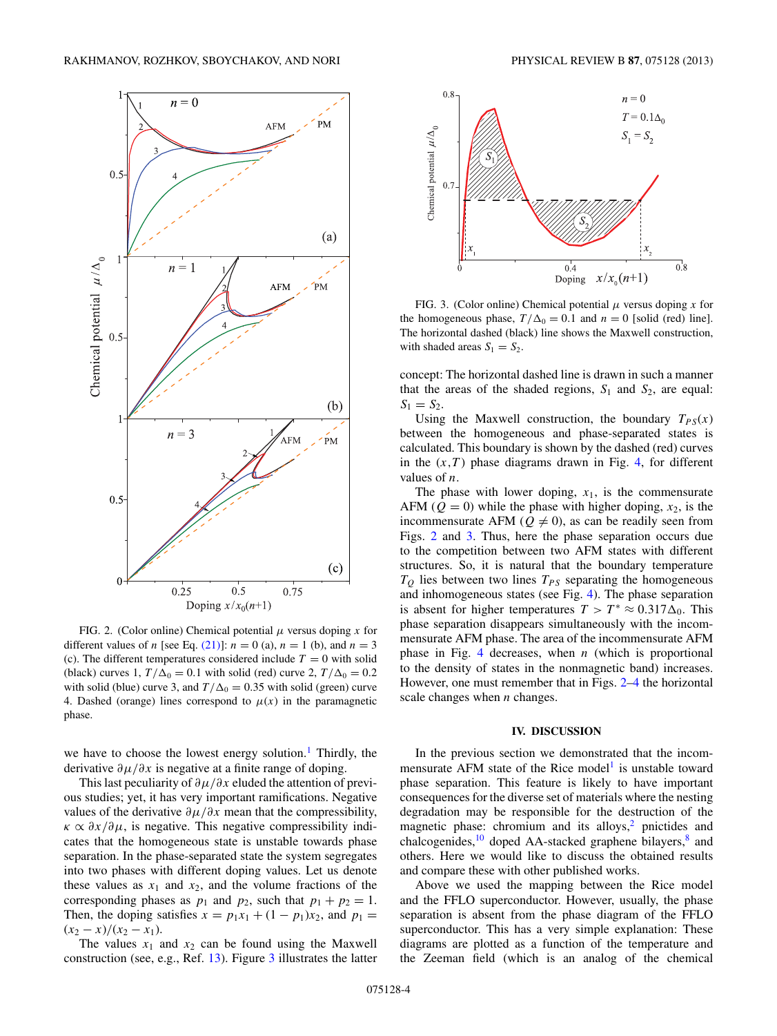<span id="page-3-0"></span>

FIG. 2. (Color online) Chemical potential *μ* versus doping *x* for different values of *n* [see Eq. [\(21\)\]](#page-2-0):  $n = 0$  (a),  $n = 1$  (b), and  $n = 3$ (c). The different temperatures considered include  $T = 0$  with solid (black) curves 1,  $T/\Delta_0 = 0.1$  with solid (red) curve 2,  $T/\Delta_0 = 0.2$ with solid (blue) curve 3, and  $T/\Delta_0 = 0.35$  with solid (green) curve 4. Dashed (orange) lines correspond to  $\mu(x)$  in the paramagnetic phase.

we have to choose the lowest energy solution.<sup>[1](#page-5-0)</sup> Thirdly, the derivative *∂μ/∂x* is negative at a finite range of doping.

This last peculiarity of *∂μ/∂x* eluded the attention of previous studies; yet, it has very important ramifications. Negative values of the derivative  $\partial \mu / \partial x$  mean that the compressibility,  $\kappa \propto \partial x / \partial \mu$ , is negative. This negative compressibility indicates that the homogeneous state is unstable towards phase separation. In the phase-separated state the system segregates into two phases with different doping values. Let us denote these values as  $x_1$  and  $x_2$ , and the volume fractions of the corresponding phases as  $p_1$  and  $p_2$ , such that  $p_1 + p_2 = 1$ . Then, the doping satisfies  $x = p_1x_1 + (1 - p_1)x_2$ , and  $p_1 =$  $(x_2 - x)/(x_2 - x_1).$ 

The values  $x_1$  and  $x_2$  can be found using the Maxwell construction (see, e.g., Ref. [13\)](#page-5-0). Figure 3 illustrates the latter



FIG. 3. (Color online) Chemical potential *μ* versus doping *x* for the homogeneous phase,  $T/\Delta_0 = 0.1$  and  $n = 0$  [solid (red) line]. The horizontal dashed (black) line shows the Maxwell construction, with shaded areas  $S_1 = S_2$ .

concept: The horizontal dashed line is drawn in such a manner that the areas of the shaded regions,  $S_1$  and  $S_2$ , are equal:  $S_1 = S_2$ .

Using the Maxwell construction, the boundary  $T_{PS}(x)$ between the homogeneous and phase-separated states is calculated. This boundary is shown by the dashed (red) curves in the  $(x,T)$  phase diagrams drawn in Fig. [4,](#page-4-0) for different values of *n*.

The phase with lower doping,  $x_1$ , is the commensurate AFM ( $Q = 0$ ) while the phase with higher doping,  $x_2$ , is the incommensurate AFM ( $Q \neq 0$ ), as can be readily seen from Figs. 2 and 3. Thus, here the phase separation occurs due to the competition between two AFM states with different structures. So, it is natural that the boundary temperature  $T_Q$  lies between two lines  $T_{PS}$  separating the homogeneous and inhomogeneous states (see Fig. [4\)](#page-4-0). The phase separation is absent for higher temperatures  $T > T^* \approx 0.317 \Delta_0$ . This phase separation disappears simultaneously with the incommensurate AFM phase. The area of the incommensurate AFM phase in Fig. [4](#page-4-0) decreases, when *n* (which is proportional to the density of states in the nonmagnetic band) increases. However, one must remember that in Figs. 2[–4](#page-4-0) the horizontal scale changes when *n* changes.

#### **IV. DISCUSSION**

In the previous section we demonstrated that the incom-mensurate AFM state of the Rice model<sup>[1](#page-5-0)</sup> is unstable toward phase separation. This feature is likely to have important consequences for the diverse set of materials where the nesting degradation may be responsible for the destruction of the magnetic phase: chromium and its alloys, $2$  pnictides and chalcogenides,<sup>10</sup> doped AA-stacked graphene bilayers,<sup>[8](#page-5-0)</sup> and others. Here we would like to discuss the obtained results and compare these with other published works.

Above we used the mapping between the Rice model and the FFLO superconductor. However, usually, the phase separation is absent from the phase diagram of the FFLO superconductor. This has a very simple explanation: These diagrams are plotted as a function of the temperature and the Zeeman field (which is an analog of the chemical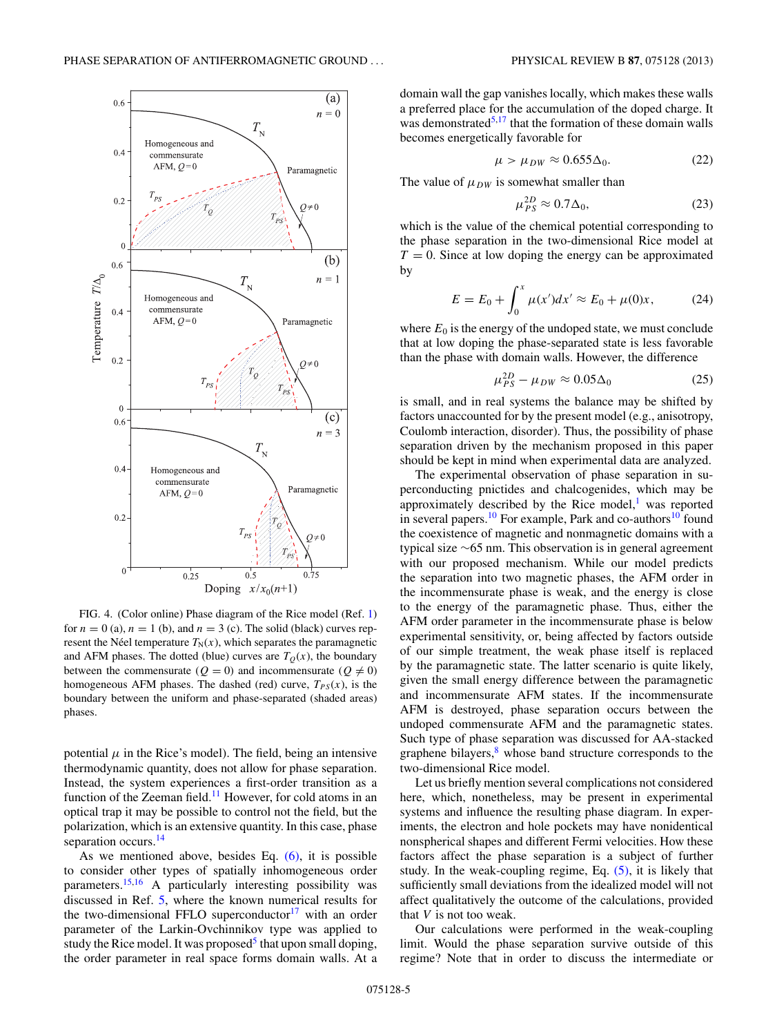<span id="page-4-0"></span>

FIG. 4. (Color online) Phase diagram of the Rice model (Ref. [1\)](#page-5-0) for  $n = 0$  (a),  $n = 1$  (b), and  $n = 3$  (c). The solid (black) curves represent the Néel temperature  $T_N(x)$ , which separates the paramagnetic and AFM phases. The dotted (blue) curves are  $T<sub>O</sub>(x)$ , the boundary between the commensurate ( $Q = 0$ ) and incommensurate ( $Q \neq 0$ ) homogeneous AFM phases. The dashed (red) curve,  $T_{PS}(x)$ , is the boundary between the uniform and phase-separated (shaded areas) phases.

potential  $\mu$  in the Rice's model). The field, being an intensive thermodynamic quantity, does not allow for phase separation. Instead, the system experiences a first-order transition as a function of the Zeeman field.<sup>[11](#page-5-0)</sup> However, for cold atoms in an optical trap it may be possible to control not the field, but the polarization, which is an extensive quantity. In this case, phase separation occurs.<sup>14</sup>

As we mentioned above, besides Eq.  $(6)$ , it is possible to consider other types of spatially inhomogeneous order parameters.[15,16](#page-5-0) A particularly interesting possibility was discussed in Ref. [5,](#page-5-0) where the known numerical results for the two-dimensional FFLO superconductor $17$  with an order parameter of the Larkin-Ovchinnikov type was applied to study the Rice model. It was proposed<sup>5</sup> that upon small doping, the order parameter in real space forms domain walls. At a domain wall the gap vanishes locally, which makes these walls a preferred place for the accumulation of the doped charge. It was demonstrated $5,17$  that the formation of these domain walls becomes energetically favorable for

$$
\mu > \mu_{DW} \approx 0.655 \Delta_0. \tag{22}
$$

The value of  $\mu_{DW}$  is somewhat smaller than

$$
\mu_{PS}^{2D} \approx 0.7 \Delta_0,\tag{23}
$$

which is the value of the chemical potential corresponding to the phase separation in the two-dimensional Rice model at  $T = 0$ . Since at low doping the energy can be approximated by

$$
E = E_0 + \int_0^x \mu(x')dx' \approx E_0 + \mu(0)x,\tag{24}
$$

where  $E_0$  is the energy of the undoped state, we must conclude that at low doping the phase-separated state is less favorable than the phase with domain walls. However, the difference

$$
\mu_{PS}^{2D} - \mu_{DW} \approx 0.05 \Delta_0 \tag{25}
$$

is small, and in real systems the balance may be shifted by factors unaccounted for by the present model (e.g., anisotropy, Coulomb interaction, disorder). Thus, the possibility of phase separation driven by the mechanism proposed in this paper should be kept in mind when experimental data are analyzed.

The experimental observation of phase separation in superconducting pnictides and chalcogenides, which may be approximately described by the Rice model, $<sup>1</sup>$  $<sup>1</sup>$  $<sup>1</sup>$  was reported</sup> in several papers.<sup>[10](#page-5-0)</sup> For example, Park and co-authors<sup>10</sup> found the coexistence of magnetic and nonmagnetic domains with a typical size ∼65 nm. This observation is in general agreement with our proposed mechanism. While our model predicts the separation into two magnetic phases, the AFM order in the incommensurate phase is weak, and the energy is close to the energy of the paramagnetic phase. Thus, either the AFM order parameter in the incommensurate phase is below experimental sensitivity, or, being affected by factors outside of our simple treatment, the weak phase itself is replaced by the paramagnetic state. The latter scenario is quite likely, given the small energy difference between the paramagnetic and incommensurate AFM states. If the incommensurate AFM is destroyed, phase separation occurs between the undoped commensurate AFM and the paramagnetic states. Such type of phase separation was discussed for AA-stacked graphene bilayers, $8$  whose band structure corresponds to the two-dimensional Rice model.

Let us briefly mention several complications not considered here, which, nonetheless, may be present in experimental systems and influence the resulting phase diagram. In experiments, the electron and hole pockets may have nonidentical nonspherical shapes and different Fermi velocities. How these factors affect the phase separation is a subject of further study. In the weak-coupling regime, Eq. [\(5\),](#page-1-0) it is likely that sufficiently small deviations from the idealized model will not affect qualitatively the outcome of the calculations, provided that *V* is not too weak.

Our calculations were performed in the weak-coupling limit. Would the phase separation survive outside of this regime? Note that in order to discuss the intermediate or